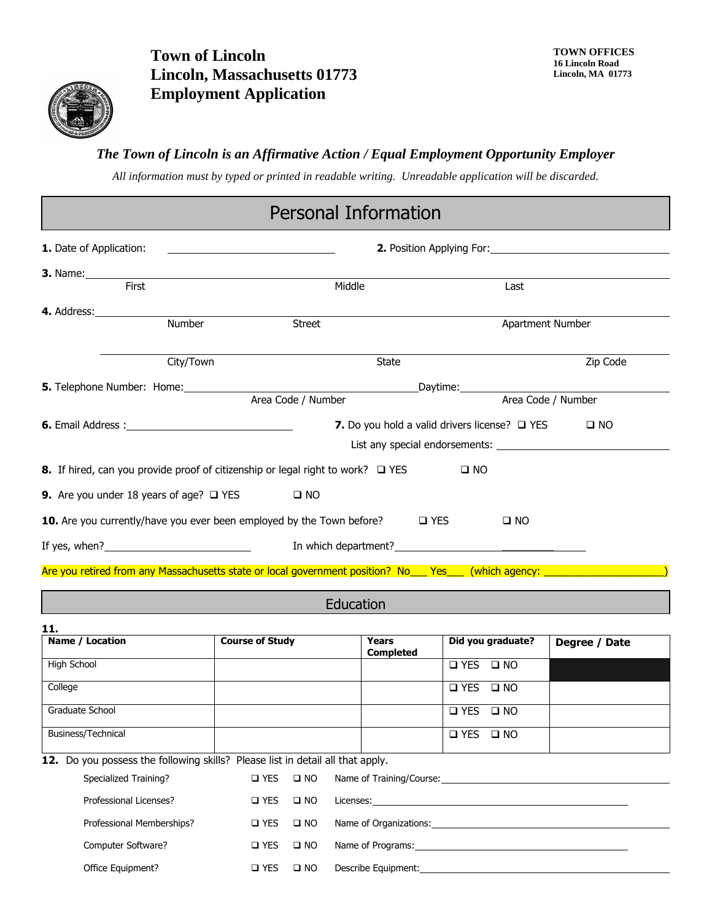

**Town of Lincoln Lincoln, Massachusetts 01773 Employment Application**

#### *The Town of Lincoln is an Affirmative Action / Equal Employment Opportunity Employer*

*All information must by typed or printed in readable writing. Unreadable application will be discarded.*

### Personal Information

| 1. Date of Application:                                                                                                                                                                                                                                                                                                                  | <u> Liste de la contrada de la contrada de la contrada de la contrada de la contrada de la contrada de la con</u> |      |                    |  |  |  |
|------------------------------------------------------------------------------------------------------------------------------------------------------------------------------------------------------------------------------------------------------------------------------------------------------------------------------------------|-------------------------------------------------------------------------------------------------------------------|------|--------------------|--|--|--|
| <b>3.</b> Name: <b>3.</b> Name: <b>3.</b> Name: <b>3.</b> Name: <b>3.</b> Name: <b>3.</b> Name: <b>3.</b> Name: <b>3.</b> Name: <b>3.</b> Name: <b>3.</b> Name: <b>3.</b> Name: <b>3.</b> Name: <b>3.</b> Name: <b>3.</b> Name: <b>3.</b> Name: <b>3.</b> Name: <b>3.</b> Name: <b>3.</b> Name: <b>3.</b> Name: <b>3.</b> Name: <b>3</b> |                                                                                                                   |      |                    |  |  |  |
| First                                                                                                                                                                                                                                                                                                                                    | Middle                                                                                                            | Last |                    |  |  |  |
| <b>4.</b> Address: <b>Example 2. Address: Address: Address: Address: Address: Address: Address: Address: Address: Address: Address: Address: Address: Address: Address: Address: Address: Address</b>                                                                                                                                    |                                                                                                                   |      |                    |  |  |  |
| Number                                                                                                                                                                                                                                                                                                                                   | <b>Street</b>                                                                                                     |      | Apartment Number   |  |  |  |
| City/Town                                                                                                                                                                                                                                                                                                                                | <b>State</b>                                                                                                      |      | Zip Code           |  |  |  |
|                                                                                                                                                                                                                                                                                                                                          |                                                                                                                   |      |                    |  |  |  |
|                                                                                                                                                                                                                                                                                                                                          | Area Code / Number                                                                                                |      | Area Code / Number |  |  |  |
| 7. Do you hold a valid drivers license? □ YES<br>$\square$ NO                                                                                                                                                                                                                                                                            |                                                                                                                   |      |                    |  |  |  |
|                                                                                                                                                                                                                                                                                                                                          |                                                                                                                   |      |                    |  |  |  |
| <b>8.</b> If hired, can you provide proof of citizenship or legal right to work? $\Box$ YES<br>$\square$ NO                                                                                                                                                                                                                              |                                                                                                                   |      |                    |  |  |  |
| <b>9.</b> Are you under 18 years of age? $\Box$ YES<br>$\square$ NO                                                                                                                                                                                                                                                                      |                                                                                                                   |      |                    |  |  |  |
| <b>10.</b> Are you currently/have you ever been employed by the Town before? $\square$ YES<br>$\square$ NO                                                                                                                                                                                                                               |                                                                                                                   |      |                    |  |  |  |
| If yes, when? $\blacksquare$                                                                                                                                                                                                                                                                                                             |                                                                                                                   |      |                    |  |  |  |
| Are you retired from any Massachusetts state or local government position? No ___ Yes ___ (which agency: ______________________________                                                                                                                                                                                                  |                                                                                                                   |      |                    |  |  |  |

Education

| 11.                                                                            |                        |                      |                                               |                      |               |  |  |  |
|--------------------------------------------------------------------------------|------------------------|----------------------|-----------------------------------------------|----------------------|---------------|--|--|--|
| Name / Location                                                                | <b>Course of Study</b> |                      | <b>Years</b><br><b>Completed</b>              | Did you graduate?    | Degree / Date |  |  |  |
| High School                                                                    |                        |                      |                                               | □ YES □ NO           |               |  |  |  |
| College                                                                        |                        |                      |                                               | □ YES □ NO           |               |  |  |  |
| Graduate School                                                                |                        |                      |                                               | $\Box$ YES $\Box$ NO |               |  |  |  |
| Business/Technical                                                             |                        |                      |                                               | □ YES □ NO           |               |  |  |  |
| 12. Do you possess the following skills? Please list in detail all that apply. |                        |                      |                                               |                      |               |  |  |  |
| Specialized Training?                                                          |                        | $\Box$ YES $\Box$ NO |                                               |                      |               |  |  |  |
| Professional Licenses?                                                         | $\Box$ YES $\Box$ NO   |                      |                                               |                      |               |  |  |  |
| Professional Memberships?                                                      | $\Box$ YES $\Box$ NO   |                      | Name of Organizations: Name of Organizations: |                      |               |  |  |  |
| Computer Software?                                                             | $\Box$ YES $\Box$ NO   |                      | Name of Programs: Name of Programs:           |                      |               |  |  |  |
| Office Equipment?                                                              |                        | O YES O NO           | Describe Equipment:                           |                      |               |  |  |  |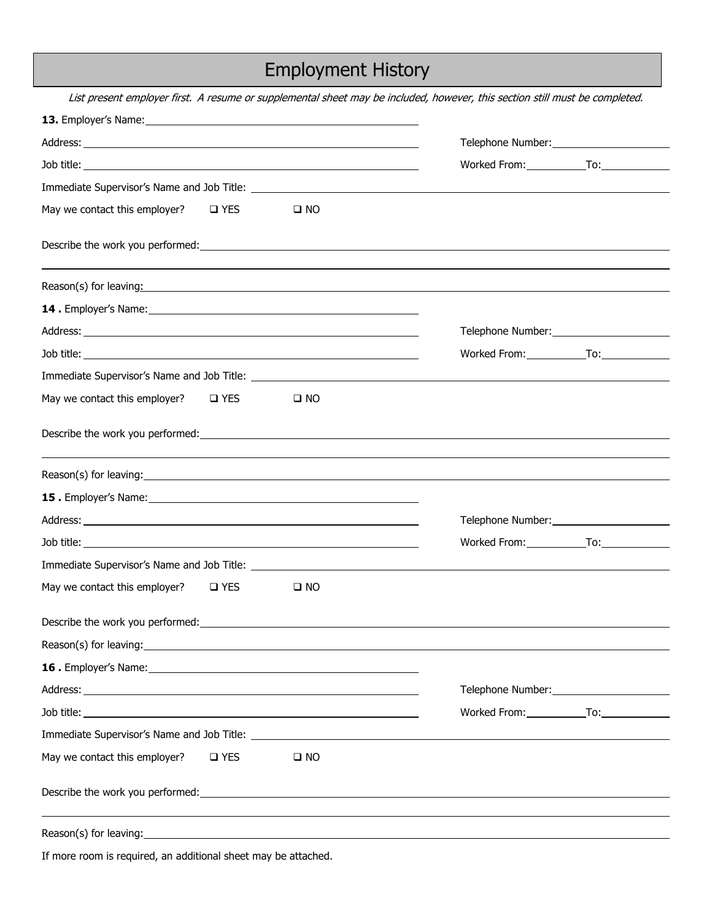#### Employment History

List present employer first. A resume or supplemental sheet may be included, however, this section still must be completed. **13.** Employer's Name: Address: Telephone Number: Job title: Worked From: To: Immediate Supervisor's Name and Job Title: May we contact this employer?  $\Box$  YES  $\Box$  NO Describe the work you performed: Reason(s) for leaving: example and the set of the set of the set of the set of the set of the set of the set of the set of the set of the set of the set of the set of the set of the set of the set of the set of the set of **14 .** Employer's Name: Address: Telephone Number: Telephone Number: Telephone Number: Telephone Number: Telephone Number: Telephone Number: Telephone Number: Telephone Number: Telephone Number: Telephone Number: Telephone Number: Telephone Numbe Job title: Worked From: To: Immediate Supervisor's Name and Job Title: May we contact this employer?  $\Box$  YES  $\Box$  NO Describe the work you performed: Reason(s) for leaving: **15 .** Employer's Name: Address: Telephone Number: Job title: Worked From: To: Immediate Supervisor's Name and Job Title: May we contact this employer?  $\Box$  YES  $\Box$  NO Describe the work you performed: Reason(s) for leaving: **16 .** Employer's Name: Address: Telephone Number: Job title: Worked From: To: Immediate Supervisor's Name and Job Title: May we contact this employer?  $\Box$  YES  $\Box$  NO Describe the work you performed: Reason(s) for leaving:

If more room is required, an additional sheet may be attached.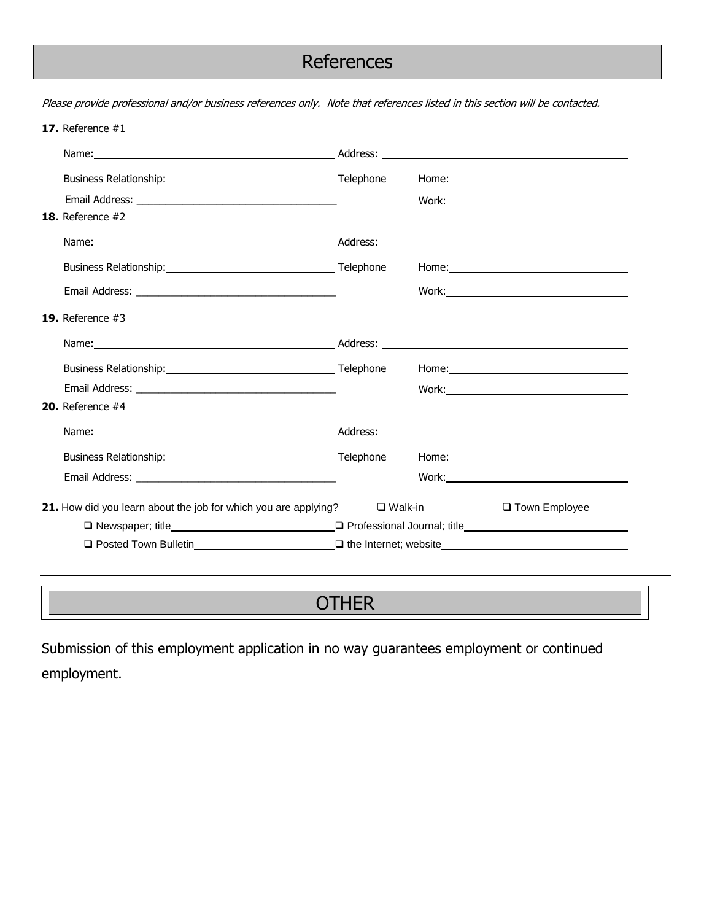### **References**

Please provide professional and/or business references only. Note that references listed in this section will be contacted.

| 17. Reference $#1$                                                                    |  |  |                 |
|---------------------------------------------------------------------------------------|--|--|-----------------|
|                                                                                       |  |  |                 |
|                                                                                       |  |  |                 |
|                                                                                       |  |  |                 |
| <b>18.</b> Reference $#2$                                                             |  |  |                 |
|                                                                                       |  |  |                 |
|                                                                                       |  |  |                 |
|                                                                                       |  |  |                 |
| <b>19.</b> Reference $#3$                                                             |  |  |                 |
|                                                                                       |  |  |                 |
|                                                                                       |  |  |                 |
|                                                                                       |  |  |                 |
| <b>20.</b> Reference $#4$                                                             |  |  |                 |
|                                                                                       |  |  |                 |
|                                                                                       |  |  |                 |
|                                                                                       |  |  |                 |
| <b>21.</b> How did you learn about the job for which you are applying? $\Box$ Walk-in |  |  | □ Town Employee |
|                                                                                       |  |  |                 |
|                                                                                       |  |  |                 |

## **OTHER**

Submission of this employment application in no way guarantees employment or continued employment.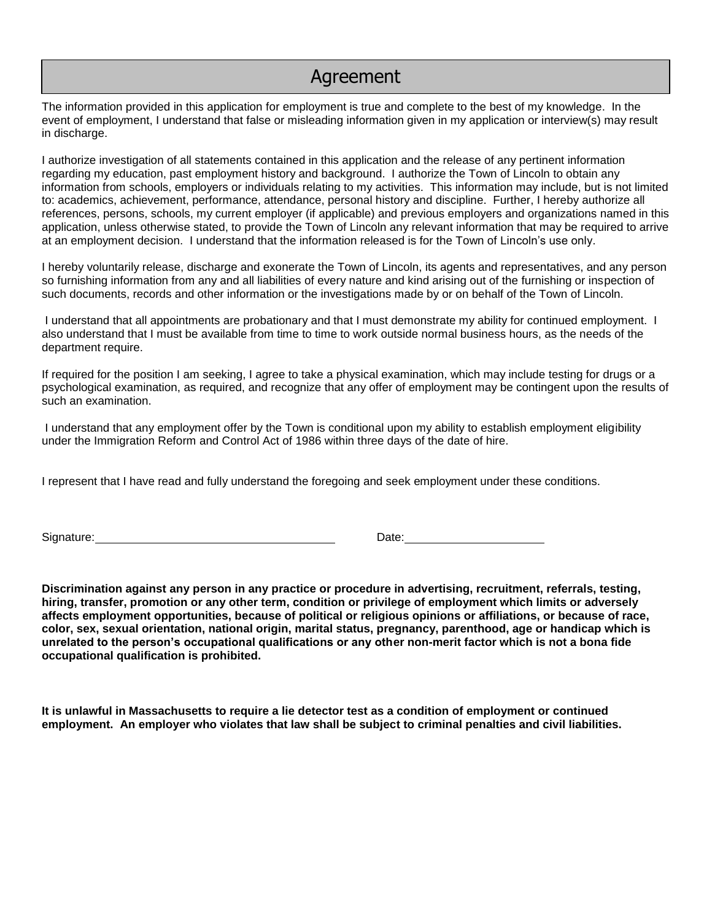#### Agreement

The information provided in this application for employment is true and complete to the best of my knowledge. In the event of employment, I understand that false or misleading information given in my application or interview(s) may result in discharge.

I authorize investigation of all statements contained in this application and the release of any pertinent information regarding my education, past employment history and background. I authorize the Town of Lincoln to obtain any information from schools, employers or individuals relating to my activities. This information may include, but is not limited to: academics, achievement, performance, attendance, personal history and discipline. Further, I hereby authorize all references, persons, schools, my current employer (if applicable) and previous employers and organizations named in this application, unless otherwise stated, to provide the Town of Lincoln any relevant information that may be required to arrive at an employment decision. I understand that the information released is for the Town of Lincoln's use only.

I hereby voluntarily release, discharge and exonerate the Town of Lincoln, its agents and representatives, and any person so furnishing information from any and all liabilities of every nature and kind arising out of the furnishing or inspection of such documents, records and other information or the investigations made by or on behalf of the Town of Lincoln.

 I understand that all appointments are probationary and that I must demonstrate my ability for continued employment. I also understand that I must be available from time to time to work outside normal business hours, as the needs of the department require.

If required for the position I am seeking, I agree to take a physical examination, which may include testing for drugs or a psychological examination, as required, and recognize that any offer of employment may be contingent upon the results of such an examination.

 I understand that any employment offer by the Town is conditional upon my ability to establish employment eligibility under the Immigration Reform and Control Act of 1986 within three days of the date of hire.

I represent that I have read and fully understand the foregoing and seek employment under these conditions.

Signature: Date: Date: Date: Date: Date: Date: Date: Date: Date: Date: Date: Date: Date: Date: Date: Date: Date: Date: Date: Date:  $\sim$  Date: Date: Date: Date: Date: Date: Date: Date: Date: Date: Date: Date: Date: Date: Da

**Discrimination against any person in any practice or procedure in advertising, recruitment, referrals, testing, hiring, transfer, promotion or any other term, condition or privilege of employment which limits or adversely affects employment opportunities, because of political or religious opinions or affiliations, or because of race, color, sex, sexual orientation, national origin, marital status, pregnancy, parenthood, age or handicap which is unrelated to the person's occupational qualifications or any other non-merit factor which is not a bona fide occupational qualification is prohibited.** 

**It is unlawful in Massachusetts to require a lie detector test as a condition of employment or continued employment. An employer who violates that law shall be subject to criminal penalties and civil liabilities.**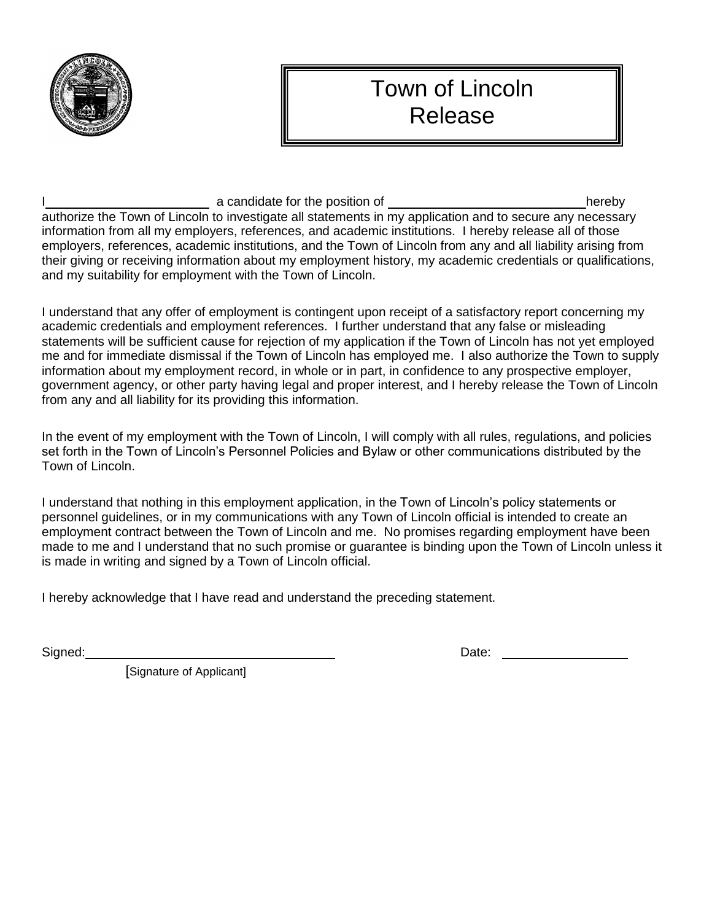

# Town of Lincoln Release

I a candidate for the position of hereby authorize the Town of Lincoln to investigate all statements in my application and to secure any necessary information from all my employers, references, and academic institutions. I hereby release all of those employers, references, academic institutions, and the Town of Lincoln from any and all liability arising from their giving or receiving information about my employment history, my academic credentials or qualifications, and my suitability for employment with the Town of Lincoln.

I understand that any offer of employment is contingent upon receipt of a satisfactory report concerning my academic credentials and employment references. I further understand that any false or misleading statements will be sufficient cause for rejection of my application if the Town of Lincoln has not yet employed me and for immediate dismissal if the Town of Lincoln has employed me. I also authorize the Town to supply information about my employment record, in whole or in part, in confidence to any prospective employer, government agency, or other party having legal and proper interest, and I hereby release the Town of Lincoln from any and all liability for its providing this information.

In the event of my employment with the Town of Lincoln, I will comply with all rules, regulations, and policies set forth in the Town of Lincoln's Personnel Policies and Bylaw or other communications distributed by the Town of Lincoln.

I understand that nothing in this employment application, in the Town of Lincoln's policy statements or personnel guidelines, or in my communications with any Town of Lincoln official is intended to create an employment contract between the Town of Lincoln and me. No promises regarding employment have been made to me and I understand that no such promise or guarantee is binding upon the Town of Lincoln unless it is made in writing and signed by a Town of Lincoln official.

I hereby acknowledge that I have read and understand the preceding statement.

Signed: Date:

[Signature of Applicant]